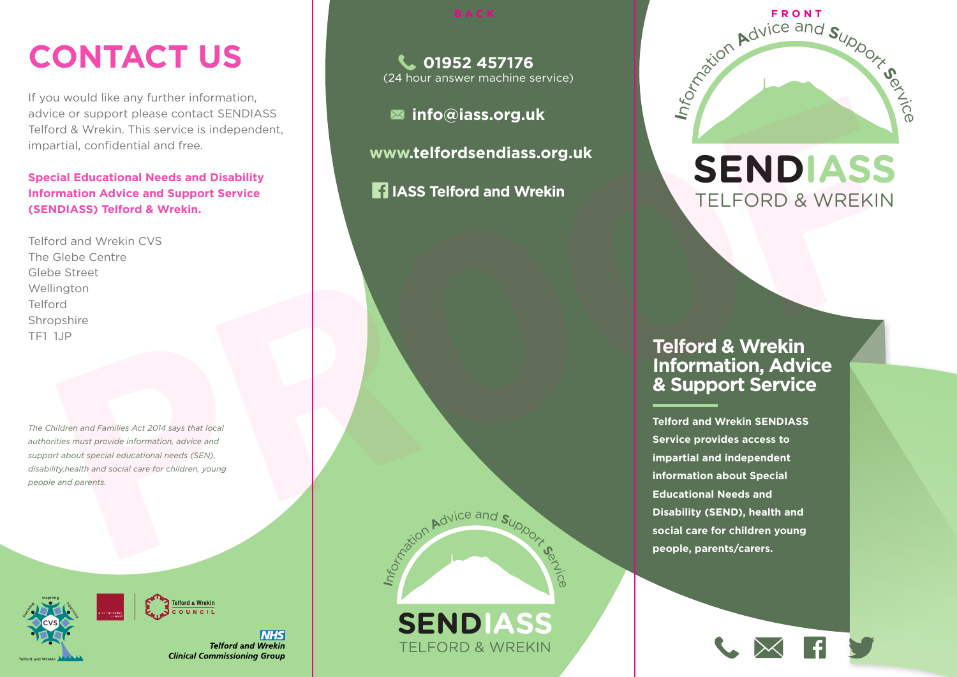# **CONTACT US**

If you would like any further information, advice or support please contact SENDIASS Telford & Wrekin. This service is independent, impartial, confidential and free.

**Special Educational Needs and Disability Information Advice and Support Service (SENDIASS) Telford & Wrekin.**

Telford and Wrekin CVS The Glebe Centre Glebe Street Wellington Telford Shropshire TF1 1JP

*The Children and Families Act 2014 says that local authorities must provide information, advice and support about special educational needs (SEN), disability,health and social care for children, young people and parents.*



Telford and Wrekin

**NHS Telford and Wrekin Clinical Commissioning Group** 

**01952 457176** (24 hour answer machine service)

**info@iass.org.uk**

 **www.telfordsendiass.org.uk**

**IASS Telford and Wrekin**



**SENDIASS**

TELFORD & WREKIN



### **SENDIASS** TELFORD & WREKIN

#### **Telford & Wrekin Information, Advice & Support Service**

**Telford and Wrekin SENDIASS Service provides access to impartial and independent information about Special Educational Needs and Disability (SEND), health and social care for children young people, parents/carers.**